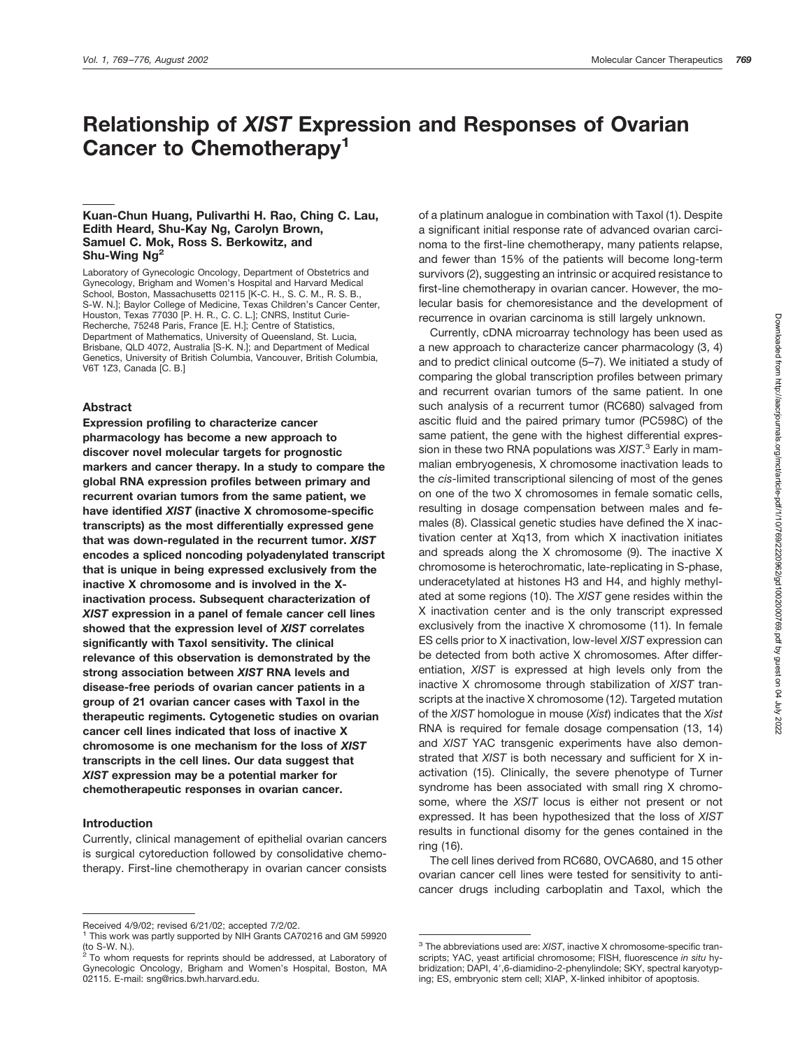# **Relationship of** *XIST* **Expression and Responses of Ovarian Cancer to Chemotherapy1**

## **Kuan-Chun Huang, Pulivarthi H. Rao, Ching C. Lau, Edith Heard, Shu-Kay Ng, Carolyn Brown, Samuel C. Mok, Ross S. Berkowitz, and Shu-Wing Ng2**

Laboratory of Gynecologic Oncology, Department of Obstetrics and Gynecology, Brigham and Women's Hospital and Harvard Medical School, Boston, Massachusetts 02115 [K-C, H., S, C, M., R, S, B., S-W. N.]; Baylor College of Medicine, Texas Children's Cancer Center, Houston, Texas 77030 [P. H. R., C. C. L.]; CNRS, Institut Curie-Recherche, 75248 Paris, France [E. H.]; Centre of Statistics, Department of Mathematics, University of Queensland, St. Lucia, Brisbane, QLD 4072, Australia [S-K. N.]; and Department of Medical Genetics, University of British Columbia, Vancouver, British Columbia, V6T 1Z3, Canada [C. B.]

#### **Abstract**

**Expression profiling to characterize cancer pharmacology has become a new approach to discover novel molecular targets for prognostic markers and cancer therapy. In a study to compare the global RNA expression profiles between primary and recurrent ovarian tumors from the same patient, we have identified** *XIST* **(inactive X chromosome-specific transcripts) as the most differentially expressed gene that was down-regulated in the recurrent tumor.** *XIST* **encodes a spliced noncoding polyadenylated transcript that is unique in being expressed exclusively from the inactive X chromosome and is involved in the Xinactivation process. Subsequent characterization of** *XIST* **expression in a panel of female cancer cell lines showed that the expression level of** *XIST* **correlates significantly with Taxol sensitivity. The clinical relevance of this observation is demonstrated by the strong association between** *XIST* **RNA levels and disease-free periods of ovarian cancer patients in a group of 21 ovarian cancer cases with Taxol in the therapeutic regiments. Cytogenetic studies on ovarian cancer cell lines indicated that loss of inactive X chromosome is one mechanism for the loss of** *XIST* **transcripts in the cell lines. Our data suggest that** *XIST* **expression may be a potential marker for chemotherapeutic responses in ovarian cancer.**

#### **Introduction**

Currently, clinical management of epithelial ovarian cancers is surgical cytoreduction followed by consolidative chemotherapy. First-line chemotherapy in ovarian cancer consists of a platinum analogue in combination with Taxol (1). Despite a significant initial response rate of advanced ovarian carcinoma to the first-line chemotherapy, many patients relapse, and fewer than 15% of the patients will become long-term survivors (2), suggesting an intrinsic or acquired resistance to first-line chemotherapy in ovarian cancer. However, the molecular basis for chemoresistance and the development of recurrence in ovarian carcinoma is still largely unknown.

Currently, cDNA microarray technology has been used as a new approach to characterize cancer pharmacology (3, 4) and to predict clinical outcome (5–7). We initiated a study of comparing the global transcription profiles between primary and recurrent ovarian tumors of the same patient. In one such analysis of a recurrent tumor (RC680) salvaged from ascitic fluid and the paired primary tumor (PC598C) of the same patient, the gene with the highest differential expression in these two RNA populations was *XIST*. <sup>3</sup> Early in mammalian embryogenesis, X chromosome inactivation leads to the *cis*-limited transcriptional silencing of most of the genes on one of the two X chromosomes in female somatic cells, resulting in dosage compensation between males and females (8). Classical genetic studies have defined the X inactivation center at Xq13, from which X inactivation initiates and spreads along the X chromosome (9). The inactive X chromosome is heterochromatic, late-replicating in S-phase, underacetylated at histones H3 and H4, and highly methylated at some regions (10). The *XIST* gene resides within the X inactivation center and is the only transcript expressed exclusively from the inactive X chromosome (11). In female ES cells prior to X inactivation, low-level *XIST* expression can be detected from both active X chromosomes. After differentiation, *XIST* is expressed at high levels only from the inactive X chromosome through stabilization of *XIST* transcripts at the inactive X chromosome (12). Targeted mutation of the *XIST* homologue in mouse (*Xist*) indicates that the *Xist* RNA is required for female dosage compensation (13, 14) and *XIST* YAC transgenic experiments have also demonstrated that *XIST* is both necessary and sufficient for X inactivation (15). Clinically, the severe phenotype of Turner syndrome has been associated with small ring X chromosome, where the *XSIT* locus is either not present or not expressed. It has been hypothesized that the loss of *XIST* results in functional disomy for the genes contained in the ring (16).

The cell lines derived from RC680, OVCA680, and 15 other ovarian cancer cell lines were tested for sensitivity to anticancer drugs including carboplatin and Taxol, which the

Received 4/9/02; revised 6/21/02; accepted 7/2/02.

<sup>&</sup>lt;sup>1</sup> This work was partly supported by NIH Grants CA70216 and GM 59920 (to S-W. N.).

To whom requests for reprints should be addressed, at Laboratory of Gynecologic Oncology, Brigham and Women's Hospital, Boston, MA 02115. E-mail: sng@rics.bwh.harvard.edu.

<sup>3</sup> The abbreviations used are: *XIST*, inactive X chromosome-specific transcripts; YAC, yeast artificial chromosome; FISH, fluorescence *in situ* hybridization; DAPI, 4',6-diamidino-2-phenylindole; SKY, spectral karyotyping; ES, embryonic stem cell; XIAP, X-linked inhibitor of apoptosis.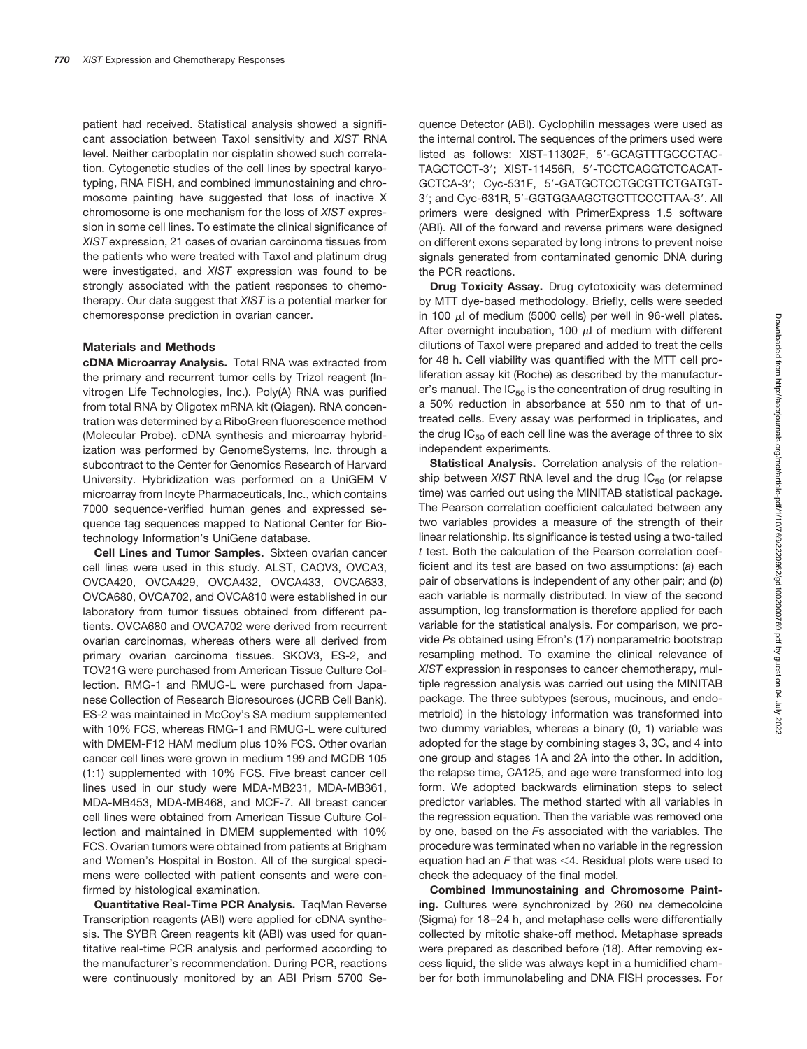patient had received. Statistical analysis showed a significant association between Taxol sensitivity and *XIST* RNA level. Neither carboplatin nor cisplatin showed such correlation. Cytogenetic studies of the cell lines by spectral karyotyping, RNA FISH, and combined immunostaining and chromosome painting have suggested that loss of inactive X chromosome is one mechanism for the loss of *XIST* expression in some cell lines. To estimate the clinical significance of *XIST* expression, 21 cases of ovarian carcinoma tissues from the patients who were treated with Taxol and platinum drug were investigated, and *XIST* expression was found to be strongly associated with the patient responses to chemotherapy. Our data suggest that *XIST* is a potential marker for chemoresponse prediction in ovarian cancer.

#### **Materials and Methods**

**cDNA Microarray Analysis.** Total RNA was extracted from the primary and recurrent tumor cells by Trizol reagent (Invitrogen Life Technologies, Inc.). Poly(A) RNA was purified from total RNA by Oligotex mRNA kit (Qiagen). RNA concentration was determined by a RiboGreen fluorescence method (Molecular Probe). cDNA synthesis and microarray hybridization was performed by GenomeSystems, Inc. through a subcontract to the Center for Genomics Research of Harvard University. Hybridization was performed on a UniGEM V microarray from Incyte Pharmaceuticals, Inc., which contains 7000 sequence-verified human genes and expressed sequence tag sequences mapped to National Center for Biotechnology Information's UniGene database.

**Cell Lines and Tumor Samples.** Sixteen ovarian cancer cell lines were used in this study. ALST, CAOV3, OVCA3, OVCA420, OVCA429, OVCA432, OVCA433, OVCA633, OVCA680, OVCA702, and OVCA810 were established in our laboratory from tumor tissues obtained from different patients. OVCA680 and OVCA702 were derived from recurrent ovarian carcinomas, whereas others were all derived from primary ovarian carcinoma tissues. SKOV3, ES-2, and TOV21G were purchased from American Tissue Culture Collection. RMG-1 and RMUG-L were purchased from Japanese Collection of Research Bioresources (JCRB Cell Bank). ES-2 was maintained in McCoy's SA medium supplemented with 10% FCS, whereas RMG-1 and RMUG-L were cultured with DMEM-F12 HAM medium plus 10% FCS. Other ovarian cancer cell lines were grown in medium 199 and MCDB 105 (1:1) supplemented with 10% FCS. Five breast cancer cell lines used in our study were MDA-MB231, MDA-MB361, MDA-MB453, MDA-MB468, and MCF-7. All breast cancer cell lines were obtained from American Tissue Culture Collection and maintained in DMEM supplemented with 10% FCS. Ovarian tumors were obtained from patients at Brigham and Women's Hospital in Boston. All of the surgical specimens were collected with patient consents and were confirmed by histological examination.

**Quantitative Real-Time PCR Analysis.** TaqMan Reverse Transcription reagents (ABI) were applied for cDNA synthesis. The SYBR Green reagents kit (ABI) was used for quantitative real-time PCR analysis and performed according to the manufacturer's recommendation. During PCR, reactions were continuously monitored by an ABI Prism 5700 Sequence Detector (ABI). Cyclophilin messages were used as the internal control. The sequences of the primers used were listed as follows: XIST-11302F, 5'-GCAGTTTGCCCTAC-TAGCTCCT-3'; XIST-11456R, 5'-TCCTCAGGTCTCACAT-GCTCA-3; Cyc-531F, 5-GATGCTCCTGCGTTCTGATGT-3': and Cyc-631R, 5'-GGTGGAAGCTGCTTCCCTTAA-3', All primers were designed with PrimerExpress 1.5 software (ABI). All of the forward and reverse primers were designed on different exons separated by long introns to prevent noise signals generated from contaminated genomic DNA during the PCR reactions.

**Drug Toxicity Assay.** Drug cytotoxicity was determined by MTT dye-based methodology. Briefly, cells were seeded in 100  $\mu$ l of medium (5000 cells) per well in 96-well plates. After overnight incubation, 100  $\mu$  of medium with different dilutions of Taxol were prepared and added to treat the cells for 48 h. Cell viability was quantified with the MTT cell proliferation assay kit (Roche) as described by the manufacturer's manual. The  $IC_{50}$  is the concentration of drug resulting in a 50% reduction in absorbance at 550 nm to that of untreated cells. Every assay was performed in triplicates, and the drug  $IC_{50}$  of each cell line was the average of three to six independent experiments.

**Statistical Analysis.** Correlation analysis of the relationship between  $XIST$  RNA level and the drug  $IC_{50}$  (or relapse time) was carried out using the MINITAB statistical package. The Pearson correlation coefficient calculated between any two variables provides a measure of the strength of their linear relationship. Its significance is tested using a two-tailed *t* test. Both the calculation of the Pearson correlation coefficient and its test are based on two assumptions: (*a*) each pair of observations is independent of any other pair; and (*b*) each variable is normally distributed. In view of the second assumption, log transformation is therefore applied for each variable for the statistical analysis. For comparison, we provide *P*s obtained using Efron's (17) nonparametric bootstrap resampling method. To examine the clinical relevance of *XIST* expression in responses to cancer chemotherapy, multiple regression analysis was carried out using the MINITAB package. The three subtypes (serous, mucinous, and endometrioid) in the histology information was transformed into two dummy variables, whereas a binary (0, 1) variable was adopted for the stage by combining stages 3, 3C, and 4 into one group and stages 1A and 2A into the other. In addition, the relapse time, CA125, and age were transformed into log form. We adopted backwards elimination steps to select predictor variables. The method started with all variables in the regression equation. Then the variable was removed one by one, based on the *F*s associated with the variables. The procedure was terminated when no variable in the regression equation had an  $\digamma$  that was  $<$ 4. Residual plots were used to check the adequacy of the final model.

**Combined Immunostaining and Chromosome Paint**ing. Cultures were synchronized by 260 nm demecolcine (Sigma) for 18–24 h, and metaphase cells were differentially collected by mitotic shake-off method. Metaphase spreads were prepared as described before (18). After removing excess liquid, the slide was always kept in a humidified chamber for both immunolabeling and DNA FISH processes. For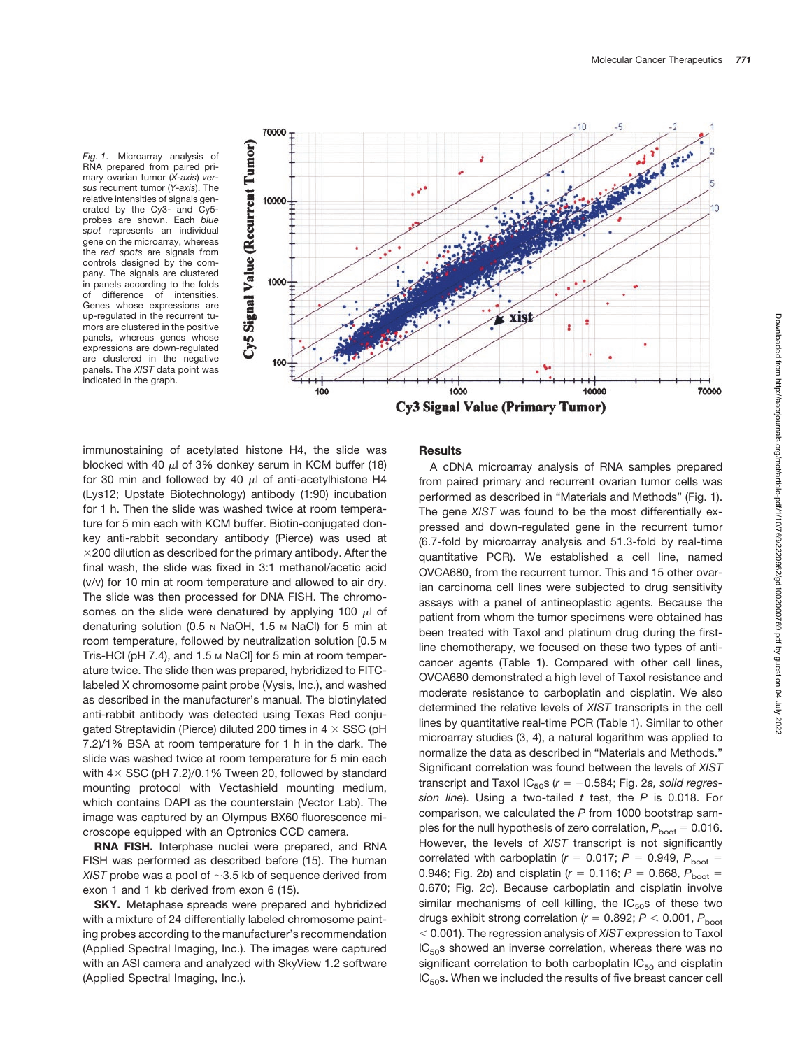*Fig. 1*. Microarray analysis of RNA prepared from paired primary ovarian tumor (*X-axis*) *versus* recurrent tumor (*Y-axis*). The relative intensities of signals generated by the Cy3- and Cy5 probes are shown. Each *blue spot* represents an individual gene on the microarray, whereas the *red spots* are signals from controls designed by the company. The signals are clustered in panels according to the folds of difference of intensities. Genes whose expressions are up-regulated in the recurrent tumors are clustered in the positive panels, whereas genes whose expressions are down-regulated are clustered in the negative panels. The *XIST* data point was indicated in the graph.



immunostaining of acetylated histone H4, the slide was blocked with 40  $\mu$  of 3% donkey serum in KCM buffer (18) for 30 min and followed by 40  $\mu$ l of anti-acetylhistone H4 (Lys12; Upstate Biotechnology) antibody (1:90) incubation for 1 h. Then the slide was washed twice at room temperature for 5 min each with KCM buffer. Biotin-conjugated donkey anti-rabbit secondary antibody (Pierce) was used at  $\times$ 200 dilution as described for the primary antibody. After the final wash, the slide was fixed in 3:1 methanol/acetic acid (v/v) for 10 min at room temperature and allowed to air dry. The slide was then processed for DNA FISH. The chromosomes on the slide were denatured by applying 100  $\mu$  of denaturing solution (0.5 N NaOH, 1.5 M NaCl) for 5 min at room temperature, followed by neutralization solution [0.5 M Tris-HCl (pH 7.4), and 1.5 M NaCl] for 5 min at room temperature twice. The slide then was prepared, hybridized to FITClabeled X chromosome paint probe (Vysis, Inc.), and washed as described in the manufacturer's manual. The biotinylated anti-rabbit antibody was detected using Texas Red conjugated Streptavidin (Pierce) diluted 200 times in  $4 \times$  SSC (pH 7.2)/1% BSA at room temperature for 1 h in the dark. The slide was washed twice at room temperature for 5 min each with  $4 \times$  SSC (pH 7.2)/0.1% Tween 20, followed by standard mounting protocol with Vectashield mounting medium, which contains DAPI as the counterstain (Vector Lab). The image was captured by an Olympus BX60 fluorescence microscope equipped with an Optronics CCD camera.

**RNA FISH.** Interphase nuclei were prepared, and RNA FISH was performed as described before (15). The human *XIST* probe was a pool of  $\sim$ 3.5 kb of sequence derived from exon 1 and 1 kb derived from exon 6 (15).

**SKY.** Metaphase spreads were prepared and hybridized with a mixture of 24 differentially labeled chromosome painting probes according to the manufacturer's recommendation (Applied Spectral Imaging, Inc.). The images were captured with an ASI camera and analyzed with SkyView 1.2 software (Applied Spectral Imaging, Inc.).

# **Results**

A cDNA microarray analysis of RNA samples prepared from paired primary and recurrent ovarian tumor cells was performed as described in "Materials and Methods" (Fig. 1). The gene *XIST* was found to be the most differentially expressed and down-regulated gene in the recurrent tumor (6.7-fold by microarray analysis and 51.3-fold by real-time quantitative PCR). We established a cell line, named OVCA680, from the recurrent tumor. This and 15 other ovarian carcinoma cell lines were subjected to drug sensitivity assays with a panel of antineoplastic agents. Because the patient from whom the tumor specimens were obtained has been treated with Taxol and platinum drug during the firstline chemotherapy, we focused on these two types of anticancer agents (Table 1). Compared with other cell lines, OVCA680 demonstrated a high level of Taxol resistance and moderate resistance to carboplatin and cisplatin. We also determined the relative levels of *XIST* transcripts in the cell lines by quantitative real-time PCR (Table 1). Similar to other microarray studies (3, 4), a natural logarithm was applied to normalize the data as described in "Materials and Methods." Significant correlation was found between the levels of *XIST* transcript and Taxol  $IC_{50}$ s ( $r = -0.584$ ; Fig. 2*a*, solid regres*sion line*). Using a two-tailed *t* test, the *P* is 0.018. For comparison, we calculated the *P* from 1000 bootstrap samples for the null hypothesis of zero correlation,  $P_{\text{boot}} = 0.016$ . However, the levels of *XIST* transcript is not significantly correlated with carboplatin ( $r = 0.017$ ;  $P = 0.949$ ,  $P_{\text{boot}} =$ 0.946; Fig. 2*b*) and cisplatin ( $r = 0.116$ ;  $P = 0.668$ ,  $P_{\text{boot}} =$ 0.670; Fig. 2*c*). Because carboplatin and cisplatin involve similar mechanisms of cell killing, the  $IC_{50}$ s of these two drugs exhibit strong correlation ( $r$  = 0.892;  $P$   $<$  0.001,  $P_{\mathrm{boot}}$ - 0.001). The regression analysis of *XIST* expression to Taxol  $IC<sub>50</sub>$ s showed an inverse correlation, whereas there was no significant correlation to both carboplatin  $IC_{50}$  and cisplatin  $IC<sub>50</sub>$ s. When we included the results of five breast cancer cell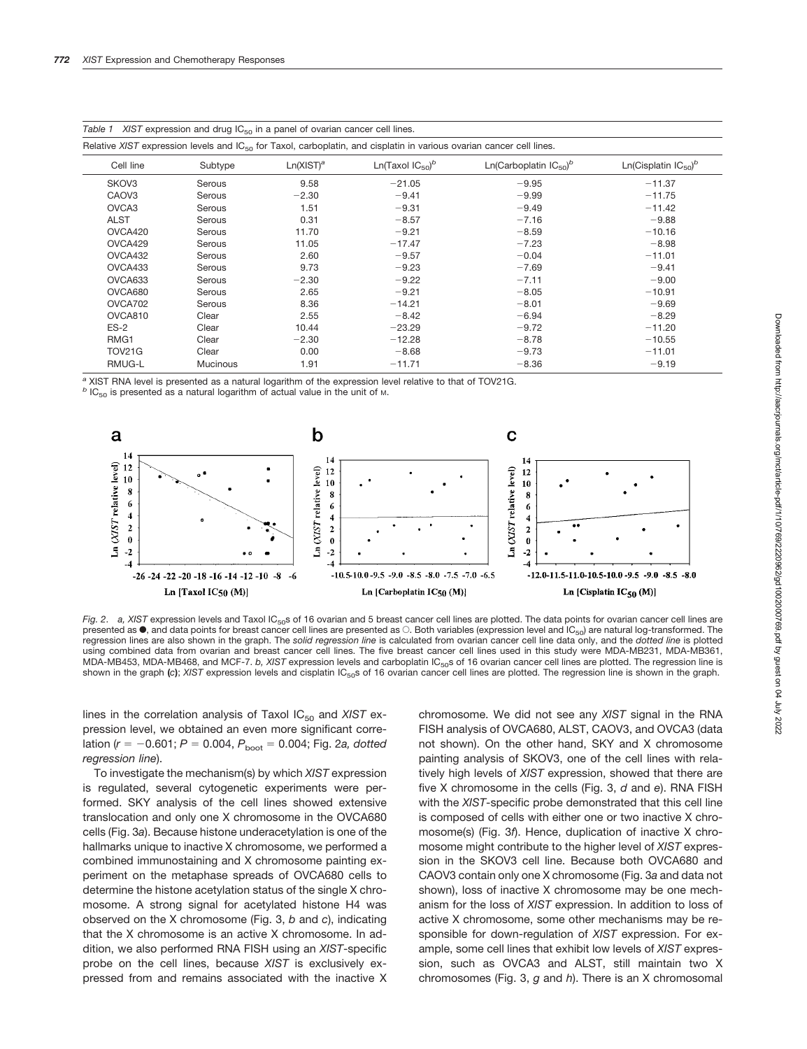| expression and analy result in a parter or examate cancer commission<br>Relative XIST expression levels and $IC_{50}$ for Taxol, carboplatin, and cisplatin in various ovarian cancer cell lines. |                 |                       |                                   |                                       |                                       |  |
|---------------------------------------------------------------------------------------------------------------------------------------------------------------------------------------------------|-----------------|-----------------------|-----------------------------------|---------------------------------------|---------------------------------------|--|
| Cell line                                                                                                                                                                                         | Subtype         | Ln(XIST) <sup>a</sup> | Ln(Taxol $IC_{50}$ ) <sup>b</sup> | Ln(Carboplatin $IC_{50}$ <sup>b</sup> | Ln(Cisplatin $IC_{50}$ ) <sup>b</sup> |  |
| SKOV3                                                                                                                                                                                             | Serous          | 9.58                  | $-21.05$                          | $-9.95$                               | $-11.37$                              |  |
| CAOV <sub>3</sub>                                                                                                                                                                                 | Serous          | $-2.30$               | $-9.41$                           | $-9.99$                               | $-11.75$                              |  |
| OVCA3                                                                                                                                                                                             | Serous          | 1.51                  | $-9.31$                           | $-9.49$                               | $-11.42$                              |  |
| <b>ALST</b>                                                                                                                                                                                       | Serous          | 0.31                  | $-8.57$                           | $-7.16$                               | $-9.88$                               |  |
| OVCA420                                                                                                                                                                                           | Serous          | 11.70                 | $-9.21$                           | $-8.59$                               | $-10.16$                              |  |
| OVCA429                                                                                                                                                                                           | Serous          | 11.05                 | $-17.47$                          | $-7.23$                               | $-8.98$                               |  |
| OVCA432                                                                                                                                                                                           | Serous          | 2.60                  | $-9.57$                           | $-0.04$                               | $-11.01$                              |  |
| OVCA433                                                                                                                                                                                           | Serous          | 9.73                  | $-9.23$                           | $-7.69$                               | $-9.41$                               |  |
| OVCA633                                                                                                                                                                                           | Serous          | $-2.30$               | $-9.22$                           | $-7.11$                               | $-9.00$                               |  |
| OVCA680                                                                                                                                                                                           | Serous          | 2.65                  | $-9.21$                           | $-8.05$                               | $-10.91$                              |  |
| OVCA702                                                                                                                                                                                           | Serous          | 8.36                  | $-14.21$                          | $-8.01$                               | $-9.69$                               |  |
| OVCA810                                                                                                                                                                                           | Clear           | 2.55                  | $-8.42$                           | $-6.94$                               | $-8.29$                               |  |
| $ES-2$                                                                                                                                                                                            | Clear           | 10.44                 | $-23.29$                          | $-9.72$                               | $-11.20$                              |  |
| RMG1                                                                                                                                                                                              | Clear           | $-2.30$               | $-12.28$                          | $-8.78$                               | $-10.55$                              |  |
| <b>TOV21G</b>                                                                                                                                                                                     | Clear           | 0.00                  | $-8.68$                           | $-9.73$                               | $-11.01$                              |  |
| RMUG-L                                                                                                                                                                                            | <b>Mucinous</b> | 1.91                  | $-11.71$                          | $-8.36$                               | $-9.19$                               |  |

|  |  | Table 1 XIST expression and drug $IC_{50}$ in a panel of ovarian cancer cell lines. |  |  |  |  |  |  |  |  |  |  |
|--|--|-------------------------------------------------------------------------------------|--|--|--|--|--|--|--|--|--|--|
|--|--|-------------------------------------------------------------------------------------|--|--|--|--|--|--|--|--|--|--|

*<sup>a</sup>* XIST RNA level is presented as a natural logarithm of the expression level relative to that of TOV21G.

*b* IC<sub>50</sub> is presented as a natural logarithm of actual value in the unit of M.



*Fig. 2. a, XIST* expression levels and Taxol IC<sub>50</sub>s of 16 ovarian and 5 breast cancer cell lines are plotted. The data points for ovarian cancer cell lines are presented as  $\bullet$ , and data points for breast cancer cell lines are presented as  $\circ$ . Both variables (expression level and IC<sub>50</sub>) are natural log-transformed. The regression lines are also shown in the graph. The *solid regression line* is calculated from ovarian cancer cell line data only, and the *dotted line* is plotted using combined data from ovarian and breast cancer cell lines. The five breast cancer cell lines used in this study were MDA-MB231, MDA-MB361, MDA-MB453, MDA-MB468, and MCF-7. *b, XIST* expression levels and carboplatin IC<sub>50</sub>s of 16 ovarian cancer cell lines are plotted. The regression line is shown in the graph (c); *XIST* expression levels and cisplatin IC<sub>50</sub>s of 16 ovarian cancer cell lines are plotted. The regression line is shown in the graph.

lines in the correlation analysis of Taxol IC<sub>50</sub> and *XIST* expression level, we obtained an even more significant correlation ( $r = -0.601$ ;  $P = 0.004$ ,  $P_{\text{boot}} = 0.004$ ; Fig. 2*a*, dotted *regression line*).

To investigate the mechanism(s) by which *XIST* expression is regulated, several cytogenetic experiments were performed. SKY analysis of the cell lines showed extensive translocation and only one X chromosome in the OVCA680 cells (Fig. 3*a*). Because histone underacetylation is one of the hallmarks unique to inactive X chromosome, we performed a combined immunostaining and X chromosome painting experiment on the metaphase spreads of OVCA680 cells to determine the histone acetylation status of the single X chromosome. A strong signal for acetylated histone H4 was observed on the X chromosome (Fig. 3, *b* and *c*), indicating that the X chromosome is an active X chromosome. In addition, we also performed RNA FISH using an *XIST*-specific probe on the cell lines, because *XIST* is exclusively expressed from and remains associated with the inactive X chromosome. We did not see any *XIST* signal in the RNA FISH analysis of OVCA680, ALST, CAOV3, and OVCA3 (data not shown). On the other hand, SKY and X chromosome painting analysis of SKOV3, one of the cell lines with relatively high levels of *XIST* expression, showed that there are five X chromosome in the cells (Fig. 3, *d* and *e*). RNA FISH with the *XIST*-specific probe demonstrated that this cell line is composed of cells with either one or two inactive X chromosome(s) (Fig. 3*f*). Hence, duplication of inactive X chromosome might contribute to the higher level of *XIST* expression in the SKOV3 cell line. Because both OVCA680 and CAOV3 contain only one X chromosome (Fig. 3*a* and data not shown), loss of inactive X chromosome may be one mechanism for the loss of *XIST* expression. In addition to loss of active X chromosome, some other mechanisms may be responsible for down-regulation of *XIST* expression. For example, some cell lines that exhibit low levels of *XIST* expression, such as OVCA3 and ALST, still maintain two X chromosomes (Fig. 3, *g* and *h*). There is an X chromosomal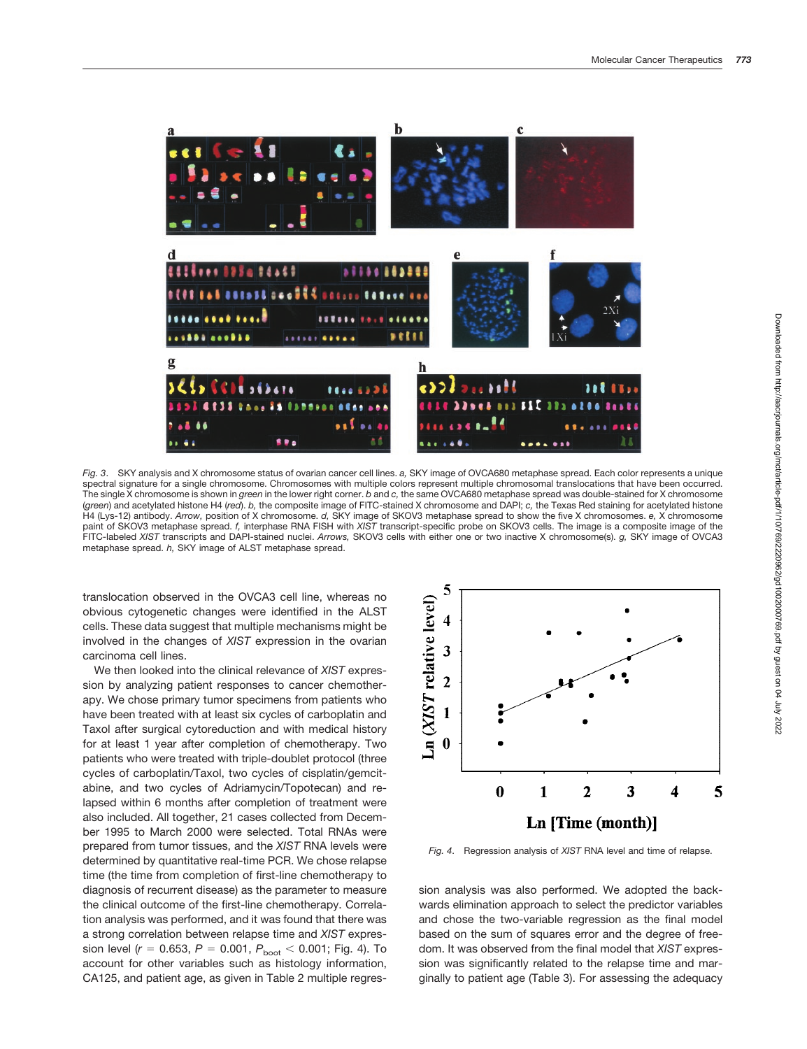

*Fig. 3*. SKY analysis and X chromosome status of ovarian cancer cell lines. *a,* SKY image of OVCA680 metaphase spread. Each color represents a unique spectral signature for a single chromosome. Chromosomes with multiple colors represent multiple chromosomal translocations that have been occurred. The single X chromosome is shown in *green* in the lower right corner. *b* and *c,* the same OVCA680 metaphase spread was double-stained for X chromosome (*green*) and acetylated histone H4 (*red*). *b,* the composite image of FITC-stained X chromosome and DAPI; *c,* the Texas Red staining for acetylated histone H4 (Lys-12) antibody. *Arrow,* position of X chromosome. *d,* SKY image of SKOV3 metaphase spread to show the five X chromosomes. *e,* X chromosome paint of SKOV3 metaphase spread. *f,* interphase RNA FISH with *XIST* transcript-specific probe on SKOV3 cells. The image is a composite image of the FITC-labeled *XIST* transcripts and DAPI-stained nuclei. *Arrows,* SKOV3 cells with either one or two inactive X chromosome(s). *g,* SKY image of OVCA3 metaphase spread. *h,* SKY image of ALST metaphase spread.

translocation observed in the OVCA3 cell line, whereas no obvious cytogenetic changes were identified in the ALST cells. These data suggest that multiple mechanisms might be involved in the changes of *XIST* expression in the ovarian carcinoma cell lines.

We then looked into the clinical relevance of *XIST* expression by analyzing patient responses to cancer chemotherapy. We chose primary tumor specimens from patients who have been treated with at least six cycles of carboplatin and Taxol after surgical cytoreduction and with medical history for at least 1 year after completion of chemotherapy. Two patients who were treated with triple-doublet protocol (three cycles of carboplatin/Taxol, two cycles of cisplatin/gemcitabine, and two cycles of Adriamycin/Topotecan) and relapsed within 6 months after completion of treatment were also included. All together, 21 cases collected from December 1995 to March 2000 were selected. Total RNAs were prepared from tumor tissues, and the *XIST* RNA levels were determined by quantitative real-time PCR. We chose relapse time (the time from completion of first-line chemotherapy to diagnosis of recurrent disease) as the parameter to measure the clinical outcome of the first-line chemotherapy. Correlation analysis was performed, and it was found that there was a strong correlation between relapse time and *XIST* expression level ( $r = 0.653$ ,  $P = 0.001$ ,  $P_{\rm boot} < 0.001$ ; Fig. 4). To account for other variables such as histology information, CA125, and patient age, as given in Table 2 multiple regres-



*Fig. 4*. Regression analysis of *XIST* RNA level and time of relapse.

sion analysis was also performed. We adopted the backwards elimination approach to select the predictor variables and chose the two-variable regression as the final model based on the sum of squares error and the degree of freedom. It was observed from the final model that *XIST* expression was significantly related to the relapse time and marginally to patient age (Table 3). For assessing the adequacy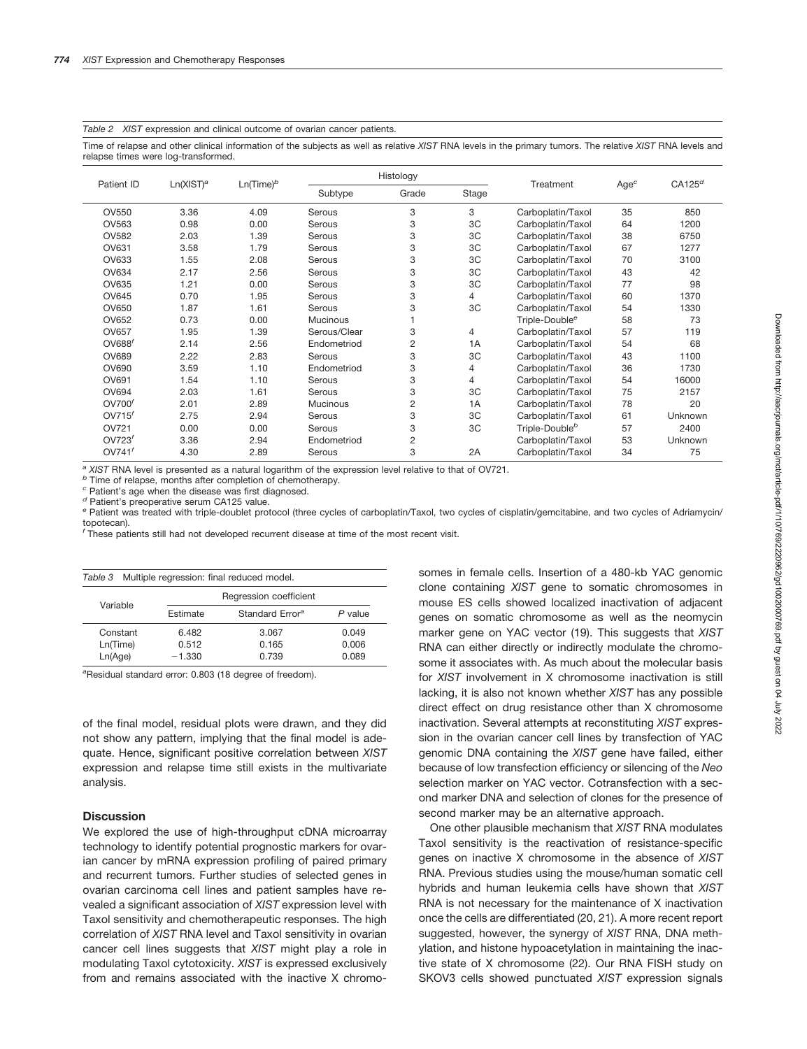*Table 2 XIST* expression and clinical outcome of ovarian cancer patients.

Time of relapse and other clinical information of the subjects as well as relative *XIST* RNA levels in the primary tumors. The relative *XIST* RNA levels and relapse times were log-transformed.

|                    |                       |              | Histology       |                |       |                            |                  |                    |
|--------------------|-----------------------|--------------|-----------------|----------------|-------|----------------------------|------------------|--------------------|
| Patient ID         | Ln(XIST) <sup>a</sup> | $Ln(Time)^b$ | Subtype         | Grade          | Stage | Treatment                  | Age <sup>c</sup> | CA125 <sup>d</sup> |
| OV550              | 3.36                  | 4.09         | Serous          | 3              | 3     | Carboplatin/Taxol          | 35               | 850                |
| OV563              | 0.98                  | 0.00         | Serous          | 3              | 3C    | Carboplatin/Taxol          | 64               | 1200               |
| <b>OV582</b>       | 2.03                  | 1.39         | Serous          | 3              | 3C    | Carboplatin/Taxol          | 38               | 6750               |
| OV631              | 3.58                  | 1.79         | Serous          | 3              | 3C    | Carboplatin/Taxol          | 67               | 1277               |
| OV633              | 1.55                  | 2.08         | Serous          | 3              | 3C    | Carboplatin/Taxol          | 70               | 3100               |
| OV634              | 2.17                  | 2.56         | Serous          | 3              | 3C    | Carboplatin/Taxol          | 43               | 42                 |
| OV635              | 1.21                  | 0.00         | Serous          | 3              | 3C    | Carboplatin/Taxol          | 77               | 98                 |
| OV645              | 0.70                  | 1.95         | Serous          | 3              | 4     | Carboplatin/Taxol          | 60               | 1370               |
| OV650              | 1.87                  | 1.61         | Serous          | 3              | 3C    | Carboplatin/Taxol          | 54               | 1330               |
| OV652              | 0.73                  | 0.00         | <b>Mucinous</b> |                |       | Triple-Double <sup>e</sup> | 58               | 73                 |
| <b>OV657</b>       | 1.95                  | 1.39         | Serous/Clear    | 3              | 4     | Carboplatin/Taxol          | 57               | 119                |
| OV688 <sup>f</sup> | 2.14                  | 2.56         | Endometriod     | $\overline{2}$ | 1A    | Carboplatin/Taxol          | 54               | 68                 |
| <b>OV689</b>       | 2.22                  | 2.83         | Serous          | 3              | 3C    | Carboplatin/Taxol          | 43               | 1100               |
| OV690              | 3.59                  | 1.10         | Endometriod     | 3              | 4     | Carboplatin/Taxol          | 36               | 1730               |
| OV691              | 1.54                  | 1.10         | Serous          | 3              | 4     | Carboplatin/Taxol          | 54               | 16000              |
| OV694              | 2.03                  | 1.61         | Serous          | 3              | 3C    | Carboplatin/Taxol          | 75               | 2157               |
| OVI00 <sup>f</sup> | 2.01                  | 2.89         | Mucinous        | 2              | 1A    | Carboplatin/Taxol          | 78               | 20                 |
| OVI15 <sup>f</sup> | 2.75                  | 2.94         | Serous          | 3              | 3C    | Carboplatin/Taxol          | 61               | Unknown            |
| OV721              | 0.00                  | 0.00         | Serous          | 3              | 3C    | Triple-Double <sup>b</sup> | 57               | 2400               |
| OVI23 <sup>f</sup> | 3.36                  | 2.94         | Endometriod     | $\overline{c}$ |       | Carboplatin/Taxol          | 53               | <b>Unknown</b>     |
| OVI41 <sup>f</sup> | 4.30                  | 2.89         | Serous          | 3              | 2A    | Carboplatin/Taxol          | 34               | 75                 |

*<sup>a</sup> XIST* RNA level is presented as a natural logarithm of the expression level relative to that of OV721. *<sup>b</sup>* Time of relapse, months after completion of chemotherapy.

d Patient's preoperative serum CA125 value.<br>e Patient was treated with triple-doublet protocol (three cycles of carboplatin/Taxol, two cycles of cisplatin/gemcitabine, and two cycles of Adriamycin/ topotecan).

*<sup>f</sup>* These patients still had not developed recurrent disease at time of the most recent visit.

|          |  |          | Table 3 Multiple regression: final reduced model. |       |  |  |  |  |
|----------|--|----------|---------------------------------------------------|-------|--|--|--|--|
| Variable |  |          | Regression coefficient                            |       |  |  |  |  |
|          |  | Estimate | Standard Frror <sup>a</sup>                       |       |  |  |  |  |
| Constant |  | 6.482    | 3.067                                             | 0.049 |  |  |  |  |
| Ln(Time) |  | 0.512    | 0.165                                             | 0.006 |  |  |  |  |
| Ln(Aqe)  |  | $-1.330$ | 0.739                                             | 0.089 |  |  |  |  |

*a* Residual standard error: 0.803 (18 degree of freedom).

of the final model, residual plots were drawn, and they did not show any pattern, implying that the final model is adequate. Hence, significant positive correlation between *XIST* expression and relapse time still exists in the multivariate analysis.

### **Discussion**

We explored the use of high-throughput cDNA microarray technology to identify potential prognostic markers for ovarian cancer by mRNA expression profiling of paired primary and recurrent tumors. Further studies of selected genes in ovarian carcinoma cell lines and patient samples have revealed a significant association of *XIST* expression level with Taxol sensitivity and chemotherapeutic responses. The high correlation of *XIST* RNA level and Taxol sensitivity in ovarian cancer cell lines suggests that *XIST* might play a role in modulating Taxol cytotoxicity. *XIST* is expressed exclusively from and remains associated with the inactive X chromosomes in female cells. Insertion of a 480-kb YAC genomic clone containing *XIST* gene to somatic chromosomes in mouse ES cells showed localized inactivation of adjacent genes on somatic chromosome as well as the neomycin marker gene on YAC vector (19). This suggests that *XIST* RNA can either directly or indirectly modulate the chromosome it associates with. As much about the molecular basis for *XIST* involvement in X chromosome inactivation is still lacking, it is also not known whether *XIST* has any possible direct effect on drug resistance other than X chromosome inactivation. Several attempts at reconstituting *XIST* expression in the ovarian cancer cell lines by transfection of YAC genomic DNA containing the *XIST* gene have failed, either because of low transfection efficiency or silencing of the *Neo* selection marker on YAC vector. Cotransfection with a second marker DNA and selection of clones for the presence of second marker may be an alternative approach.

One other plausible mechanism that *XIST* RNA modulates Taxol sensitivity is the reactivation of resistance-specific genes on inactive X chromosome in the absence of *XIST* RNA. Previous studies using the mouse/human somatic cell hybrids and human leukemia cells have shown that *XIST* RNA is not necessary for the maintenance of X inactivation once the cells are differentiated (20, 21). A more recent report suggested, however, the synergy of *XIST* RNA, DNA methylation, and histone hypoacetylation in maintaining the inactive state of X chromosome (22). Our RNA FISH study on SKOV3 cells showed punctuated *XIST* expression signals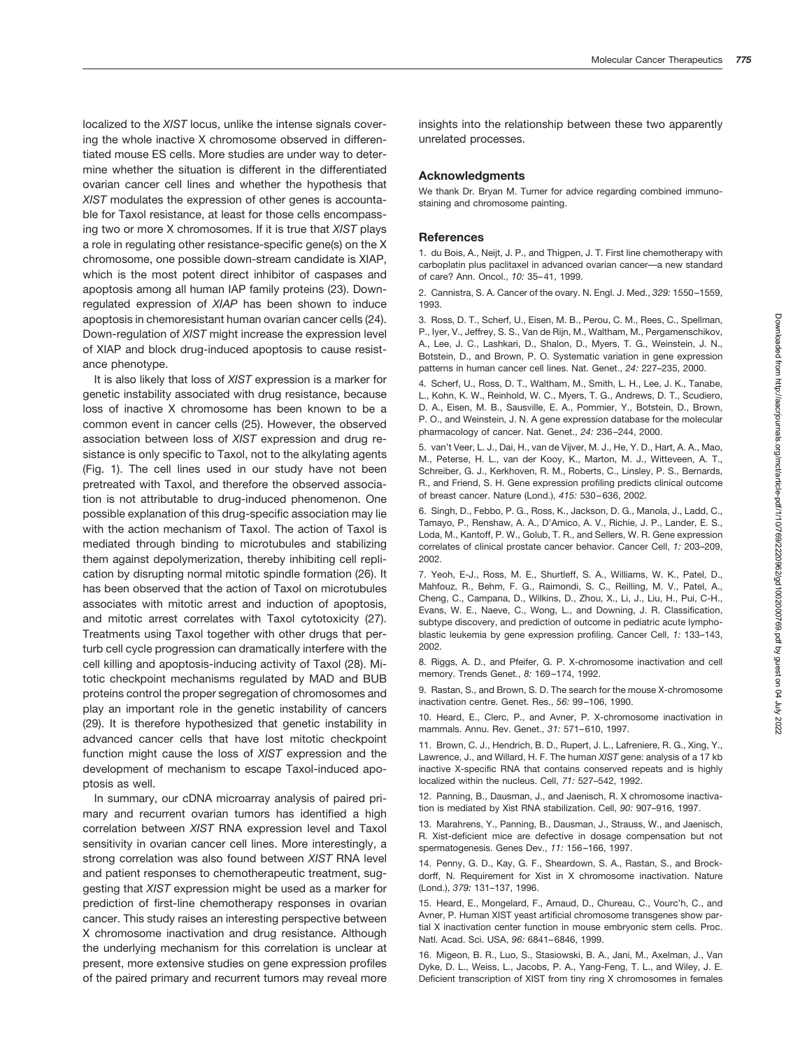localized to the *XIST* locus, unlike the intense signals covering the whole inactive X chromosome observed in differentiated mouse ES cells. More studies are under way to determine whether the situation is different in the differentiated ovarian cancer cell lines and whether the hypothesis that *XIST* modulates the expression of other genes is accountable for Taxol resistance, at least for those cells encompassing two or more X chromosomes. If it is true that *XIST* plays a role in regulating other resistance-specific gene(s) on the X chromosome, one possible down-stream candidate is XIAP, which is the most potent direct inhibitor of caspases and apoptosis among all human IAP family proteins (23). Downregulated expression of *XIAP* has been shown to induce apoptosis in chemoresistant human ovarian cancer cells (24). Down-regulation of *XIST* might increase the expression level of XIAP and block drug-induced apoptosis to cause resistance phenotype.

It is also likely that loss of *XIST* expression is a marker for genetic instability associated with drug resistance, because loss of inactive X chromosome has been known to be a common event in cancer cells (25). However, the observed association between loss of *XIST* expression and drug resistance is only specific to Taxol, not to the alkylating agents (Fig. 1). The cell lines used in our study have not been pretreated with Taxol, and therefore the observed association is not attributable to drug-induced phenomenon. One possible explanation of this drug-specific association may lie with the action mechanism of Taxol. The action of Taxol is mediated through binding to microtubules and stabilizing them against depolymerization, thereby inhibiting cell replication by disrupting normal mitotic spindle formation (26). It has been observed that the action of Taxol on microtubules associates with mitotic arrest and induction of apoptosis, and mitotic arrest correlates with Taxol cytotoxicity (27). Treatments using Taxol together with other drugs that perturb cell cycle progression can dramatically interfere with the cell killing and apoptosis-inducing activity of Taxol (28). Mitotic checkpoint mechanisms regulated by MAD and BUB proteins control the proper segregation of chromosomes and play an important role in the genetic instability of cancers (29). It is therefore hypothesized that genetic instability in advanced cancer cells that have lost mitotic checkpoint function might cause the loss of *XIST* expression and the development of mechanism to escape Taxol-induced apoptosis as well.

In summary, our cDNA microarray analysis of paired primary and recurrent ovarian tumors has identified a high correlation between *XIST* RNA expression level and Taxol sensitivity in ovarian cancer cell lines. More interestingly, a strong correlation was also found between *XIST* RNA level and patient responses to chemotherapeutic treatment, suggesting that *XIST* expression might be used as a marker for prediction of first-line chemotherapy responses in ovarian cancer. This study raises an interesting perspective between X chromosome inactivation and drug resistance. Although the underlying mechanism for this correlation is unclear at present, more extensive studies on gene expression profiles of the paired primary and recurrent tumors may reveal more

insights into the relationship between these two apparently unrelated processes.

#### **Acknowledgments**

We thank Dr. Bryan M. Turner for advice regarding combined immunostaining and chromosome painting.

#### **References**

1. du Bois, A., Neijt, J. P., and Thigpen, J. T. First line chemotherapy with carboplatin plus paclitaxel in advanced ovarian cancer—a new standard of care? Ann. Oncol., *10:* 35–41, 1999.

2. Cannistra, S. A. Cancer of the ovary. N. Engl. J. Med., *329:* 1550–1559, 1993.

3. Ross, D. T., Scherf, U., Eisen, M. B., Perou, C. M., Rees, C., Spellman, P., Iyer, V., Jeffrey, S. S., Van de Rijn, M., Waltham, M., Pergamenschikov, A., Lee, J. C., Lashkari, D., Shalon, D., Myers, T. G., Weinstein, J. N., Botstein, D., and Brown, P. O. Systematic variation in gene expression patterns in human cancer cell lines. Nat. Genet., *24:* 227–235, 2000.

4. Scherf, U., Ross, D. T., Waltham, M., Smith, L. H., Lee, J. K., Tanabe, L., Kohn, K. W., Reinhold, W. C., Myers, T. G., Andrews, D. T., Scudiero, D. A., Eisen, M. B., Sausville, E. A., Pommier, Y., Botstein, D., Brown, P. O., and Weinstein, J. N. A gene expression database for the molecular pharmacology of cancer. Nat. Genet., *24:* 236–244, 2000.

5. van't Veer, L. J., Dai, H., van de Vijver, M. J., He, Y. D., Hart, A. A., Mao, M., Peterse, H. L., van der Kooy, K., Marton, M. J., Witteveen, A. T., Schreiber, G. J., Kerkhoven, R. M., Roberts, C., Linsley, P. S., Bernards, R., and Friend, S. H. Gene expression profiling predicts clinical outcome of breast cancer. Nature (Lond.), *415:* 530–636, 2002.

6. Singh, D., Febbo, P. G., Ross, K., Jackson, D. G., Manola, J., Ladd, C., Tamayo, P., Renshaw, A. A., D'Amico, A. V., Richie, J. P., Lander, E. S., Loda, M., Kantoff, P. W., Golub, T. R., and Sellers, W. R. Gene expression correlates of clinical prostate cancer behavior. Cancer Cell, *1:* 203–209, 2002.

7. Yeoh, E-J., Ross, M. E., Shurtleff, S. A., Williams, W. K., Patel, D., Mahfouz, R., Behm, F. G., Raimondi, S. C., Reilling, M. V., Patel, A., Cheng, C., Campana, D., Wilkins, D., Zhou, X., Li, J., Liu, H., Pui, C-H., Evans, W. E., Naeve, C., Wong, L., and Downing, J. R. Classification, subtype discovery, and prediction of outcome in pediatric acute lymphoblastic leukemia by gene expression profiling. Cancer Cell, *1:* 133–143, 2002.

8. Riggs, A. D., and Pfeifer, G. P. X-chromosome inactivation and cell memory. Trends Genet., *8:* 169–174, 1992.

9. Rastan, S., and Brown, S. D. The search for the mouse X-chromosome inactivation centre. Genet. Res., *56:* 99–106, 1990.

10. Heard, E., Clerc, P., and Avner, P. X-chromosome inactivation in mammals. Annu. Rev. Genet., *31:* 571–610, 1997.

11. Brown, C. J., Hendrich, B. D., Rupert, J. L., Lafreniere, R. G., Xing, Y., Lawrence, J., and Willard, H. F. The human *XIST* gene: analysis of a 17 kb inactive X-specific RNA that contains conserved repeats and is highly localized within the nucleus. Cell, *71:* 527–542, 1992.

12. Panning, B., Dausman, J., and Jaenisch, R. X chromosome inactivation is mediated by Xist RNA stabilization. Cell, *90:* 907–916, 1997.

13. Marahrens, Y., Panning, B., Dausman, J., Strauss, W., and Jaenisch, R. Xist-deficient mice are defective in dosage compensation but not spermatogenesis. Genes Dev., *11:* 156–166, 1997.

14. Penny, G. D., Kay, G. F., Sheardown, S. A., Rastan, S., and Brockdorff, N. Requirement for Xist in X chromosome inactivation. Nature (Lond.), *379:* 131–137, 1996.

15. Heard, E., Mongelard, F., Arnaud, D., Chureau, C., Vourc'h, C., and Avner, P. Human XIST yeast artificial chromosome transgenes show partial X inactivation center function in mouse embryonic stem cells. Proc. Natl. Acad. Sci. USA, *96:* 6841–6846, 1999.

16. Migeon, B. R., Luo, S., Stasiowski, B. A., Jani, M., Axelman, J., Van Dyke, D. L., Weiss, L., Jacobs, P. A., Yang-Feng, T. L., and Wiley, J. E. Deficient transcription of XIST from tiny ring X chromosomes in females